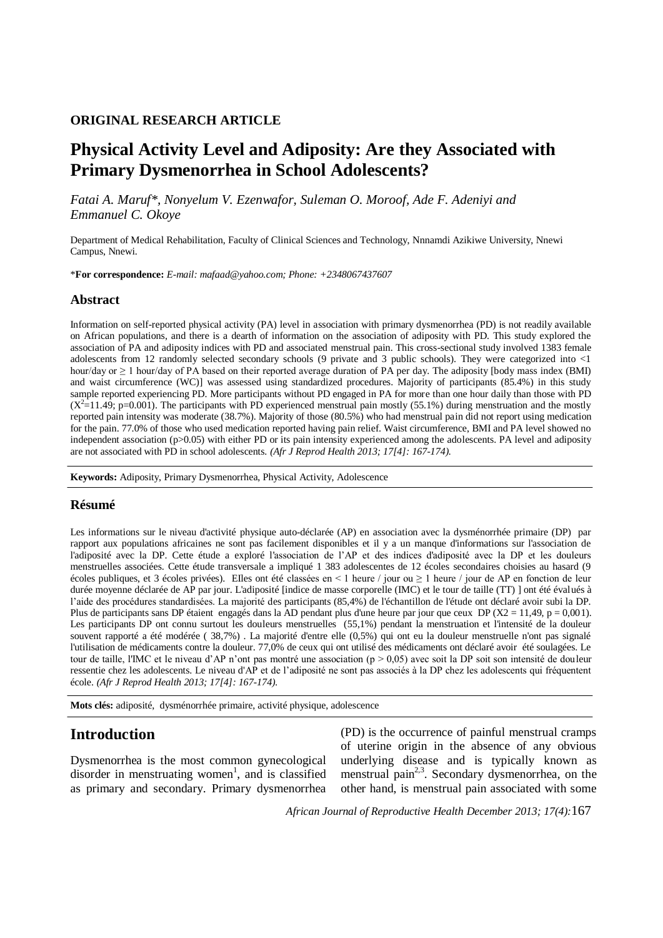### **ORIGINAL RESEARCH ARTICLE**

# **Physical Activity Level and Adiposity: Are they Associated with Primary Dysmenorrhea in School Adolescents?**

*Fatai A. Maruf\*, Nonyelum V. Ezenwafor, Suleman O. Moroof, Ade F. Adeniyi and Emmanuel C. Okoye*

Department of Medical Rehabilitation, Faculty of Clinical Sciences and Technology, Nnnamdi Azikiwe University, Nnewi Campus, Nnewi.

\***For correspondence:** *E-mail: mafaad@yahoo.com; Phone: +2348067437607*

#### **Abstract**

Information on self-reported physical activity (PA) level in association with primary dysmenorrhea (PD) is not readily available on African populations, and there is a dearth of information on the association of adiposity with PD. This study explored the association of PA and adiposity indices with PD and associated menstrual pain. This cross-sectional study involved 1383 female adolescents from 12 randomly selected secondary schools (9 private and 3 public schools). They were categorized into <1 hour/day or ≥ 1 hour/day of PA based on their reported average duration of PA per day. The adiposity [body mass index (BMI) and waist circumference (WC)] was assessed using standardized procedures. Majority of participants (85.4%) in this study sample reported experiencing PD. More participants without PD engaged in PA for more than one hour daily than those with PD  $(X^2=11.49; p=0.001)$ . The participants with PD experienced menstrual pain mostly (55.1%) during menstruation and the mostly reported pain intensity was moderate (38.7%). Majority of those (80.5%) who had menstrual pain did not report using medication for the pain. 77.0% of those who used medication reported having pain relief. Waist circumference, BMI and PA level showed no independent association (p>0.05) with either PD or its pain intensity experienced among the adolescents. PA level and adiposity are not associated with PD in school adolescents. *(Afr J Reprod Health 2013; 17[4]: 167-174).*

**Keywords:** Adiposity, Primary Dysmenorrhea, Physical Activity, Adolescence

#### **Résumé**

Les informations sur le niveau d'activité physique auto-déclarée (AP) en association avec la dysménorrhée primaire (DP) par rapport aux populations africaines ne sont pas facilement disponibles et il y a un manque d'informations sur l'association de l'adiposité avec la DP. Cette étude a exploré l'association de l'AP et des indices d'adiposité avec la DP et les douleurs menstruelles associées. Cette étude transversale a impliqué 1 383 adolescentes de 12 écoles secondaires choisies au hasard (9 écoles publiques, et 3 écoles privées). EIles ont été classées en < 1 heure / jour ou ≥ 1 heure / jour de AP en fonction de leur durée moyenne déclarée de AP par jour. L'adiposité [indice de masse corporelle (IMC) et le tour de taille (TT) ] ont été évalués à l'aide des procédures standardisées. La majorité des participants (85,4%) de l'échantillon de l'étude ont déclaré avoir subi la DP. Plus de participants sans DP étaient engagés dans la AD pendant plus d'une heure par jour que ceux DP ( $X2 = 11,49$ ,  $p = 0,001$ ). Les participants DP ont connu surtout les douleurs menstruelles (55,1%) pendant la menstruation et l'intensité de la douleur souvent rapporté a été modérée ( 38,7%) . La majorité d'entre elle (0,5%) qui ont eu la douleur menstruelle n'ont pas signalé l'utilisation de médicaments contre la douleur. 77,0% de ceux qui ont utilisé des médicaments ont déclaré avoir été soulagées. Le tour de taille, l'IMC et le niveau d'AP n'ont pas montré une association (p > 0,05) avec soit la DP soit son intensité de douleur ressentie chez les adolescents. Le niveau d'AP et de l'adiposité ne sont pas associés à la DP chez les adolescents qui fréquentent école. *(Afr J Reprod Health 2013; 17[4]: 167-174).*

**Mots clés:** adiposité, dysménorrhée primaire, activité physique, adolescence

## **Introduction**

Dysmenorrhea is the most common gynecological disorder in menstruating women<sup>1</sup>, and is classified as primary and secondary. Primary dysmenorrhea

(PD) is the occurrence of painful menstrual cramps of uterine origin in the absence of any obvious underlying disease and is typically known as menstrual pain<sup>2,3</sup>. Secondary dysmenorrhea, on the other hand, is menstrual pain associated with some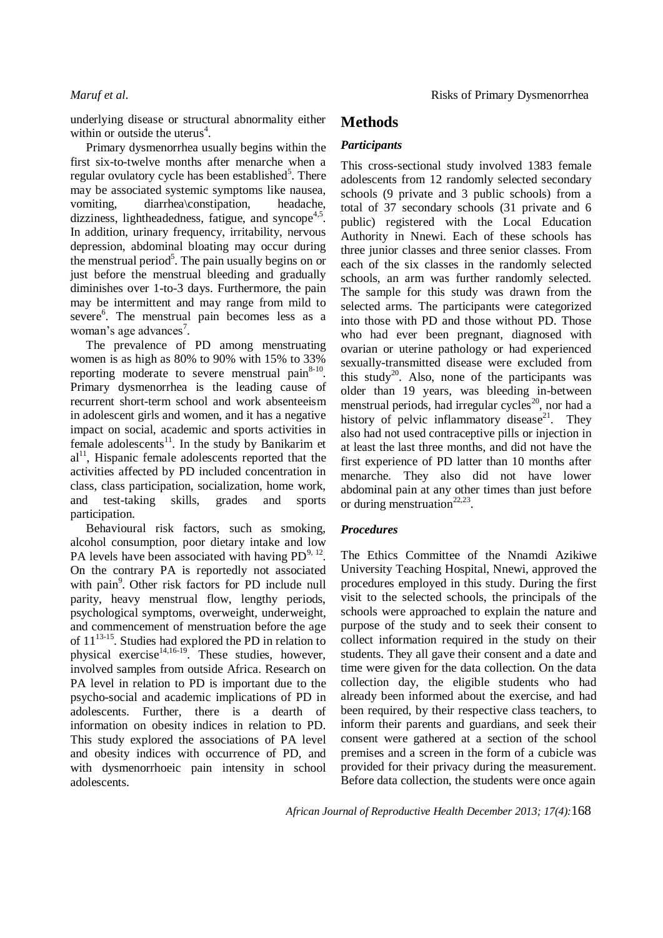underlying disease or structural abnormality either within or outside the uterus $4$ .

Primary dysmenorrhea usually begins within the first six-to-twelve months after menarche when a regular ovulatory cycle has been established<sup>5</sup>. There may be associated systemic symptoms like nausea, vomiting, diarrhea\constipation, headache, dizziness, lightheadedness, fatigue, and syncope<sup>4,5</sup>. In addition, urinary frequency, irritability, nervous depression, abdominal bloating may occur during the menstrual period<sup>5</sup>. The pain usually begins on or just before the menstrual bleeding and gradually diminishes over 1-to-3 days. Furthermore, the pain may be intermittent and may range from mild to severe<sup>6</sup>. The menstrual pain becomes less as a woman's age advances<sup>7</sup>.

The prevalence of PD among menstruating women is as high as 80% to 90% with 15% to 33% reporting moderate to severe menstrual pain $8-10$ . Primary dysmenorrhea is the leading cause of recurrent short-term school and work absenteeism in adolescent girls and women, and it has a negative impact on social, academic and sports activities in female adolescents $11$ . In the study by Banikarim et  $al<sup>11</sup>$ , Hispanic female adolescents reported that the activities affected by PD included concentration in class, class participation, socialization, home work, and test-taking skills, grades and sports participation.

Behavioural risk factors, such as smoking, alcohol consumption, poor dietary intake and low PA levels have been associated with having  $PD^{9,12}$ . On the contrary PA is reportedly not associated with pain<sup>9</sup>. Other risk factors for PD include null parity, heavy menstrual flow, lengthy periods, psychological symptoms, overweight, underweight, and commencement of menstruation before the age of  $11^{13-15}$ . Studies had explored the PD in relation to physical exercise $14,16-19$ . These studies, however, involved samples from outside Africa. Research on PA level in relation to PD is important due to the psycho-social and academic implications of PD in adolescents. Further, there is a dearth of information on obesity indices in relation to PD. This study explored the associations of PA level and obesity indices with occurrence of PD, and with dysmenorrhoeic pain intensity in school adolescents.

## **Methods**

### *Participants*

This cross-sectional study involved 1383 female adolescents from 12 randomly selected secondary schools (9 private and 3 public schools) from a total of 37 secondary schools (31 private and 6 public) registered with the Local Education Authority in Nnewi. Each of these schools has three junior classes and three senior classes. From each of the six classes in the randomly selected schools, an arm was further randomly selected. The sample for this study was drawn from the selected arms. The participants were categorized into those with PD and those without PD. Those who had ever been pregnant, diagnosed with ovarian or uterine pathology or had experienced sexually-transmitted disease were excluded from this study<sup>20</sup>. Also, none of the participants was older than 19 years, was bleeding in-between menstrual periods, had irregular cycles<sup>20</sup>, nor had a history of pelvic inflammatory disease<sup>21</sup>. They also had not used contraceptive pills or injection in at least the last three months, and did not have the first experience of PD latter than 10 months after menarche. They also did not have lower abdominal pain at any other times than just before or during menstruation<sup>22,23</sup>.

### *Procedures*

The Ethics Committee of the Nnamdi Azikiwe University Teaching Hospital, Nnewi, approved the procedures employed in this study. During the first visit to the selected schools, the principals of the schools were approached to explain the nature and purpose of the study and to seek their consent to collect information required in the study on their students. They all gave their consent and a date and time were given for the data collection. On the data collection day, the eligible students who had already been informed about the exercise, and had been required, by their respective class teachers, to inform their parents and guardians, and seek their consent were gathered at a section of the school premises and a screen in the form of a cubicle was provided for their privacy during the measurement. Before data collection, the students were once again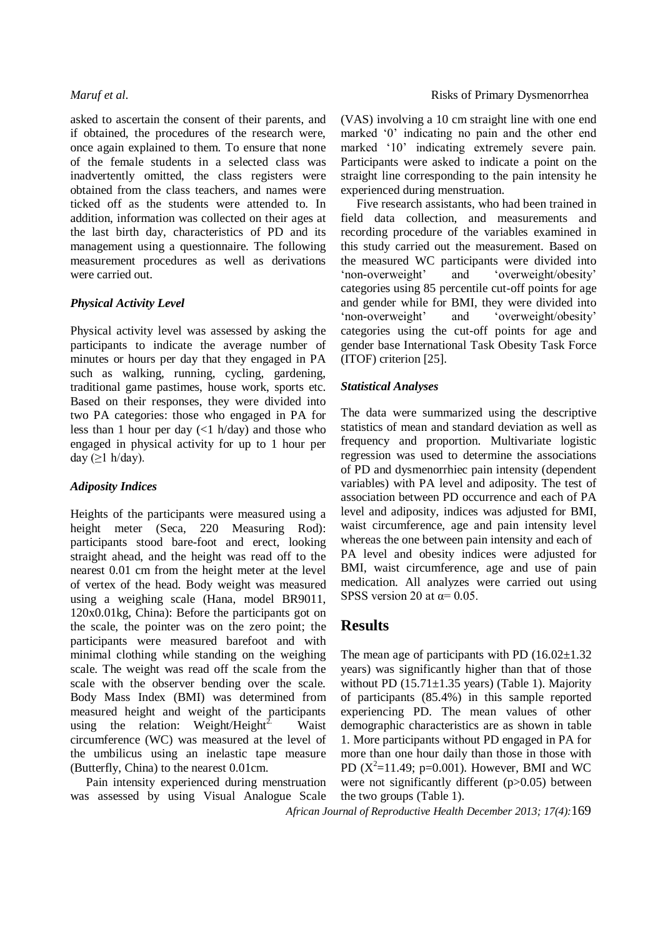asked to ascertain the consent of their parents, and if obtained, the procedures of the research were, once again explained to them. To ensure that none of the female students in a selected class was inadvertently omitted, the class registers were obtained from the class teachers, and names were ticked off as the students were attended to. In addition, information was collected on their ages at the last birth day, characteristics of PD and its management using a questionnaire. The following measurement procedures as well as derivations were carried out.

### *Physical Activity Level*

Physical activity level was assessed by asking the participants to indicate the average number of minutes or hours per day that they engaged in PA such as walking, running, cycling, gardening, traditional game pastimes, house work, sports etc. Based on their responses, they were divided into two PA categories: those who engaged in PA for less than 1 hour per day  $\left(\langle 1 \text{ h}/\text{day}\right)$  and those who engaged in physical activity for up to 1 hour per day  $(≥1 h/day)$ .

### *Adiposity Indices*

Heights of the participants were measured using a height meter (Seca, 220 Measuring Rod): participants stood bare-foot and erect, looking straight ahead, and the height was read off to the nearest 0.01 cm from the height meter at the level of vertex of the head. Body weight was measured using a weighing scale (Hana, model BR9011, 120x0.01kg, China): Before the participants got on the scale, the pointer was on the zero point; the participants were measured barefoot and with minimal clothing while standing on the weighing scale. The weight was read off the scale from the scale with the observer bending over the scale. Body Mass Index (BMI) was determined from measured height and weight of the participants using the relation: Weight/Height<sup>2.</sup> Waist circumference (WC) was measured at the level of the umbilicus using an inelastic tape measure (Butterfly, China) to the nearest 0.01cm.

Pain intensity experienced during menstruation was assessed by using Visual Analogue Scale (VAS) involving a 10 cm straight line with one end marked '0' indicating no pain and the other end marked '10' indicating extremely severe pain. Participants were asked to indicate a point on the straight line corresponding to the pain intensity he experienced during menstruation.

Five research assistants, who had been trained in field data collection, and measurements and recording procedure of the variables examined in this study carried out the measurement. Based on the measured WC participants were divided into 'non-overweight' and 'overweight/obesity' categories using 85 percentile cut-off points for age and gender while for BMI, they were divided into 'non-overweight' and 'overweight/obesity' categories using the cut-off points for age and gender base International Task Obesity Task Force (ITOF) criterion [25].

#### *Statistical Analyses*

The data were summarized using the descriptive statistics of mean and standard deviation as well as frequency and proportion. Multivariate logistic regression was used to determine the associations of PD and dysmenorrhiec pain intensity (dependent variables) with PA level and adiposity. The test of association between PD occurrence and each of PA level and adiposity, indices was adjusted for BMI, waist circumference, age and pain intensity level whereas the one between pain intensity and each of PA level and obesity indices were adjusted for BMI, waist circumference, age and use of pain medication. All analyzes were carried out using SPSS version 20 at  $\alpha$ = 0.05.

## **Results**

The mean age of participants with PD  $(16.02 \pm 1.32)$ years) was significantly higher than that of those without PD  $(15.71 \pm 1.35$  years) (Table 1). Majority of participants (85.4%) in this sample reported experiencing PD. The mean values of other demographic characteristics are as shown in table 1. More participants without PD engaged in PA for more than one hour daily than those in those with PD  $(X^2=11.49; p=0.001)$ . However, BMI and WC were not significantly different (p>0.05) between the two groups (Table 1).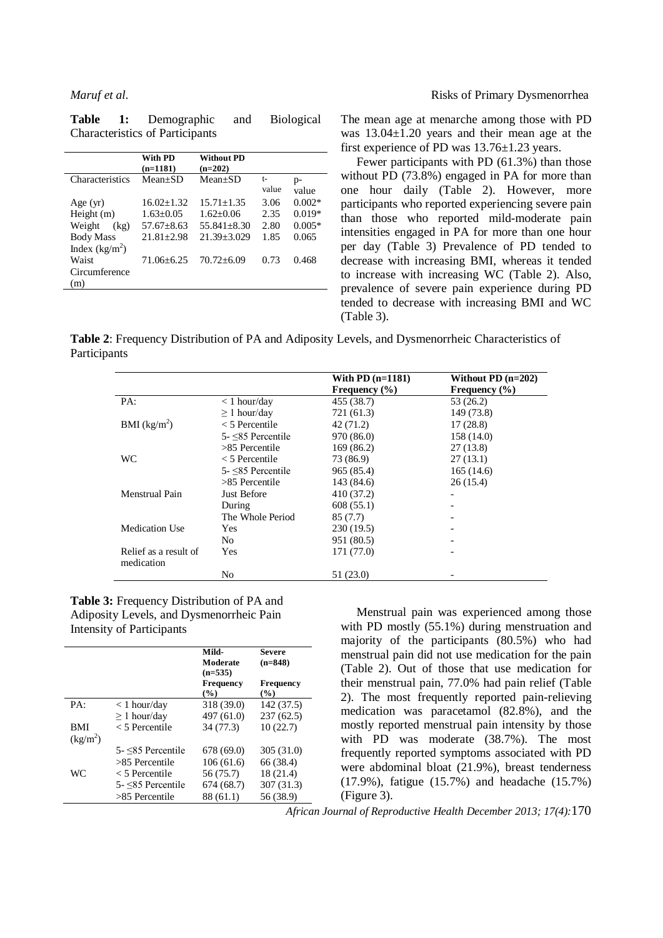|                  | With PD<br>$(n=1181)$ | <b>Without PD</b><br>$(n=202)$ |             |               |
|------------------|-----------------------|--------------------------------|-------------|---------------|
| Characteristics  | $Mean+SD$             | $Mean+SD$                      | t-<br>value | $p-$<br>value |
| Age $(yr)$       | $16.02 + 1.32$        | $15.71 + 1.35$                 | 3.06        | $0.002*$      |
| Height $(m)$     | $1.63 \pm 0.05$       | $1.62+0.06$                    | 2.35        | $0.019*$      |
| Weight<br>(kg)   | $57.67 + 8.63$        | $55.841 \pm 8.30$              | 2.80        | $0.005*$      |
| <b>Body Mass</b> | $21.81 + 2.98$        | $21.39 + 3.029$                | 1.85        | 0.065         |
| Index $(kg/m^2)$ |                       |                                |             |               |
| Waist            | $71.06 + 6.25$        | $70.72 + 6.09$                 | 0.73        | 0.468         |
| Circumference    |                       |                                |             |               |
| (m)              |                       |                                |             |               |

The mean age at menarche among those with PD was 13.04±1.20 years and their mean age at the first experience of PD was 13.76±1.23 years.

Fewer participants with PD (61.3%) than those without PD (73.8%) engaged in PA for more than one hour daily (Table 2). However, more participants who reported experiencing severe pain than those who reported mild-moderate pain intensities engaged in PA for more than one hour per day (Table 3) Prevalence of PD tended to decrease with increasing BMI, whereas it tended to increase with increasing WC (Table 2). Also, prevalence of severe pain experience during PD tended to decrease with increasing BMI and WC (Table 3).

**Table 2**: Frequency Distribution of PA and Adiposity Levels, and Dysmenorrheic Characteristics of Participants

|                                     |                     | With PD $(n=1181)$ | Without PD $(n=202)$ |
|-------------------------------------|---------------------|--------------------|----------------------|
|                                     |                     | Frequency $(\% )$  | Frequency $(\% )$    |
| PA:                                 | $<$ 1 hour/day      | 455 (38.7)         | 53 (26.2)            |
|                                     | $\geq 1$ hour/day   | 721 (61.3)         | 149 (73.8)           |
| BMI $(kg/m^2)$                      | $<$ 5 Percentile    | 42 (71.2)          | 17(28.8)             |
|                                     | $5 - 5$ Percentile  | 970 (86.0)         | 158 (14.0)           |
|                                     | $>85$ Percentile    | 169 (86.2)         | 27(13.8)             |
| <b>WC</b>                           | $<$ 5 Percentile    | 73 (86.9)          | 27(13.1)             |
|                                     | $5 - 85$ Percentile | 965 (85.4)         | 165(14.6)            |
|                                     | $>85$ Percentile    | 143 (84.6)         | 26(15.4)             |
| Menstrual Pain                      | Just Before         | 410 (37.2)         |                      |
|                                     | During              | 608(55.1)          |                      |
|                                     | The Whole Period    | 85(7.7)            |                      |
| Medication Use                      | Yes.                | 230(19.5)          |                      |
|                                     | No                  | 951 (80.5)         |                      |
| Relief as a result of<br>medication | <b>Yes</b>          | 171 (77.0)         |                      |
|                                     | No                  | 51 (23.0)          |                      |

#### **Table 3:** Frequency Distribution of PA and Adiposity Levels, and Dysmenorrheic Pain Intensity of Participants

|            |                      | Mild-<br>Moderate<br>$(n=535)$ | <b>Severe</b><br>$(n=848)$ |
|------------|----------------------|--------------------------------|----------------------------|
|            |                      | Frequency<br>$($ %)            | <b>Frequency</b><br>(%)    |
| PA:        | $< 1$ hour/day       | 318 (39.0)                     | 142 (37.5)                 |
|            | $\geq 1$ hour/day    | 497 (61.0)                     | 237(62.5)                  |
| <b>BMI</b> | $<$ 5 Percentile     | 34 (77.3)                      | 10(22.7)                   |
| $(kg/m^2)$ |                      |                                |                            |
|            | $5 - $85$ Percentile | 678(69.0)                      | 305 (31.0)                 |
|            | $>85$ Percentile     | 106(61.6)                      | 66 (38.4)                  |
| WC.        | $<$ 5 Percentile     | 56 (75.7)                      | 18 (21.4)                  |
|            | $5 - 5$ Percentile   | 674(68.7)                      | 307 (31.3)                 |
|            | $>85$ Percentile     | 88 (61.1)                      | 56 (38.9)                  |

Menstrual pain was experienced among those with PD mostly (55.1%) during menstruation and majority of the participants (80.5%) who had menstrual pain did not use medication for the pain (Table 2). Out of those that use medication for their menstrual pain, 77.0% had pain relief (Table 2). The most frequently reported pain-relieving medication was paracetamol (82.8%), and the mostly reported menstrual pain intensity by those with PD was moderate (38.7%). The most frequently reported symptoms associated with PD were abdominal bloat (21.9%), breast tenderness (17.9%), fatigue (15.7%) and headache (15.7%) (Figure 3).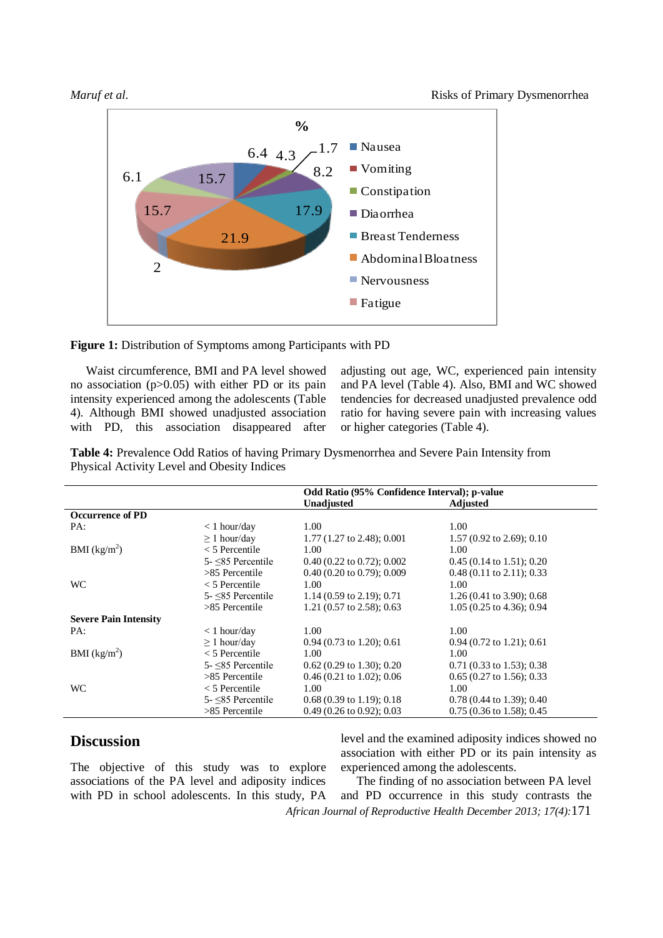

Figure 1: Distribution of Symptoms among Participants with PD

Waist circumference, BMI and PA level showed no association (p>0.05) with either PD or its pain intensity experienced among the adolescents (Table 4). Although BMI showed unadjusted association with PD, this association disappeared after adjusting out age, WC, experienced pain intensity and PA level (Table 4). Also, BMI and WC showed tendencies for decreased unadjusted prevalence odd ratio for having severe pain with increasing values or higher categories (Table 4).

**Table 4:** Prevalence Odd Ratios of having Primary Dysmenorrhea and Severe Pain Intensity from Physical Activity Level and Obesity Indices

|                              |                          | Odd Ratio (95% Confidence Interval); p-value |                                      |
|------------------------------|--------------------------|----------------------------------------------|--------------------------------------|
|                              |                          | <b>Unadjusted</b>                            | <b>Adjusted</b>                      |
| <b>Occurrence of PD</b>      |                          |                                              |                                      |
| PA:                          | $< 1$ hour/day           | 1.00                                         | 1.00                                 |
|                              | $\geq 1$ hour/day        | $1.77(1.27 \text{ to } 2.48)$ ; 0.001        | $1.57(0.92 \text{ to } 2.69)$ ; 0.10 |
| BMI (kg/m <sup>2</sup> )     | $<$ 5 Percentile         | 1.00                                         | 1.00                                 |
|                              | $5 - 5$ Percentile       | $0.40(0.22 \text{ to } 0.72); 0.002$         | $0.45(0.14 \text{ to } 1.51); 0.20$  |
|                              | $>85$ Percentile         | $0.40$ (0.20 to 0.79); 0.009                 | $0.48(0.11 \text{ to } 2.11); 0.33$  |
| <b>WC</b>                    | $<$ 5 Percentile         | 1.00                                         | 1.00                                 |
|                              | $5 - \leq 85$ Percentile | 1.14 $(0.59 \text{ to } 2.19)$ ; 0.71        | $1.26(0.41 \text{ to } 3.90)$ ; 0.68 |
|                              | $>85$ Percentile         | 1.21 (0.57 to 2.58); 0.63                    | $1.05(0.25 \text{ to } 4.36)$ ; 0.94 |
| <b>Severe Pain Intensity</b> |                          |                                              |                                      |
| PA:                          | $< 1$ hour/day           | 1.00                                         | 1.00                                 |
|                              | $\geq 1$ hour/day        | $0.94$ (0.73 to 1.20); 0.61                  | $0.94$ (0.72 to 1.21); 0.61          |
| BMI (kg/m <sup>2</sup> )     | $<$ 5 Percentile         | 1.00                                         | 1.00                                 |
|                              | $5 - 85$ Percentile      | $0.62$ (0.29 to 1.30); 0.20                  | $0.71$ (0.33 to 1.53); 0.38          |
|                              | $>85$ Percentile         | $0.46(0.21 \text{ to } 1.02)$ ; 0.06         | $0.65$ (0.27 to 1.56); 0.33          |
| <b>WC</b>                    | $<$ 5 Percentile         | 1.00                                         | 1.00                                 |
|                              | $5 - \leq 85$ Percentile | $0.68(0.39 \text{ to } 1.19)$ ; 0.18         | $0.78(0.44 \text{ to } 1.39)$ ; 0.40 |
|                              | $>85$ Percentile         | $0.49(0.26 \text{ to } 0.92)$ ; 0.03         | $0.75(0.36 \text{ to } 1.58)$ ; 0.45 |

## **Discussion**

The objective of this study was to explore associations of the PA level and adiposity indices with PD in school adolescents. In this study, PA level and the examined adiposity indices showed no association with either PD or its pain intensity as experienced among the adolescents.

*African Journal of Reproductive Health December 2013; 17(4):*171 The finding of no association between PA level and PD occurrence in this study contrasts the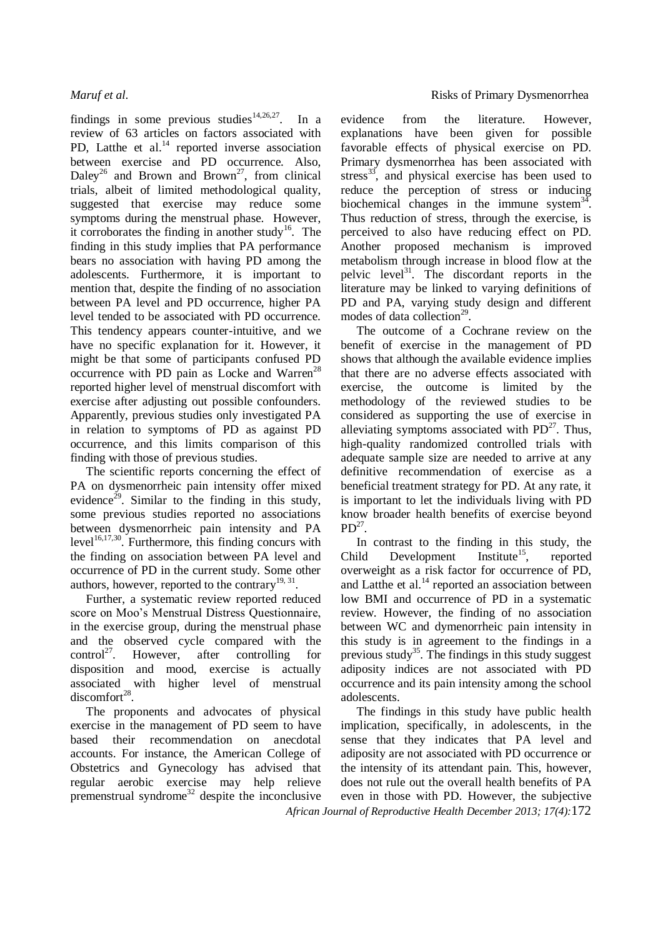findings in some previous studies<sup>14,26,27</sup>. In a review of 63 articles on factors associated with PD, Latthe et al.<sup>14</sup> reported inverse association between exercise and PD occurrence. Also, Daley<sup>26</sup> and Brown and Brown<sup>27</sup>, from clinical trials, albeit of limited methodological quality, suggested that exercise may reduce some symptoms during the menstrual phase. However, it corroborates the finding in another study<sup>16</sup>. The finding in this study implies that PA performance bears no association with having PD among the adolescents. Furthermore, it is important to mention that, despite the finding of no association between PA level and PD occurrence, higher PA level tended to be associated with PD occurrence. This tendency appears counter-intuitive, and we have no specific explanation for it. However, it might be that some of participants confused PD occurrence with PD pain as Locke and Warren<sup>28</sup> reported higher level of menstrual discomfort with exercise after adjusting out possible confounders. Apparently, previous studies only investigated PA in relation to symptoms of PD as against PD occurrence, and this limits comparison of this finding with those of previous studies.

The scientific reports concerning the effect of PA on dysmenorrheic pain intensity offer mixed evidence<sup>29</sup>. Similar to the finding in this study, some previous studies reported no associations between dysmenorrheic pain intensity and PA level<sup>16,17,30</sup>. Furthermore, this finding concurs with the finding on association between PA level and occurrence of PD in the current study. Some other authors, however, reported to the contrary<sup>19, 31</sup>.

Further, a systematic review reported reduced score on Moo's Menstrual Distress Questionnaire, in the exercise group, during the menstrual phase and the observed cycle compared with the control<sup>27</sup>. . However, after controlling for disposition and mood, exercise is actually associated with higher level of menstrual  $discomfort^{28}$ .

The proponents and advocates of physical exercise in the management of PD seem to have based their recommendation on anecdotal accounts. For instance, the American College of Obstetrics and Gynecology has advised that regular aerobic exercise may help relieve premenstrual syndrome<sup>32</sup> despite the inconclusive

evidence from the literature. However, explanations have been given for possible favorable effects of physical exercise on PD. Primary dysmenorrhea has been associated with stress<sup>33</sup>, and physical exercise has been used to reduce the perception of stress or inducing biochemical changes in the immune system $34$ . Thus reduction of stress, through the exercise, is perceived to also have reducing effect on PD. Another proposed mechanism is improved metabolism through increase in blood flow at the pelvic level<sup>31</sup>. The discordant reports in the literature may be linked to varying definitions of PD and PA, varying study design and different modes of data collection<sup>29</sup>.

The outcome of a Cochrane review on the benefit of exercise in the management of PD shows that although the available evidence implies that there are no adverse effects associated with exercise, the outcome is limited by the methodology of the reviewed studies to be considered as supporting the use of exercise in alleviating symptoms associated with  $PD^{27}$ . Thus, high-quality randomized controlled trials with adequate sample size are needed to arrive at any definitive recommendation of exercise as a beneficial treatment strategy for PD. At any rate, it is important to let the individuals living with PD know broader health benefits of exercise beyond  $PD^{27}$ .

In contrast to the finding in this study, the idd Development Institute<sup>15</sup>, reported Child Development Institute<sup>15</sup>, reported overweight as a risk factor for occurrence of PD, and Latthe et al.<sup>14</sup> reported an association between low BMI and occurrence of PD in a systematic review. However, the finding of no association between WC and dymenorrheic pain intensity in this study is in agreement to the findings in a previous study<sup>35</sup>. The findings in this study suggest adiposity indices are not associated with PD occurrence and its pain intensity among the school adolescents.

*African Journal of Reproductive Health December 2013; 17(4):*172 The findings in this study have public health implication, specifically, in adolescents, in the sense that they indicates that PA level and adiposity are not associated with PD occurrence or the intensity of its attendant pain. This, however, does not rule out the overall health benefits of PA even in those with PD. However, the subjective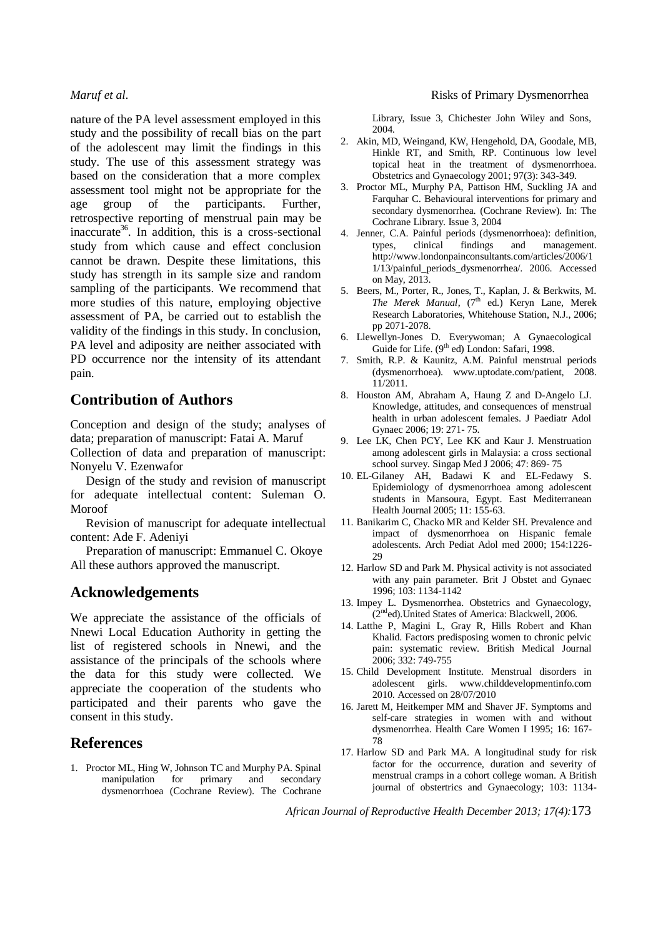nature of the PA level assessment employed in this study and the possibility of recall bias on the part of the adolescent may limit the findings in this study. The use of this assessment strategy was based on the consideration that a more complex assessment tool might not be appropriate for the age group of the participants. Further, retrospective reporting of menstrual pain may be inaccurate<sup>36</sup>. In addition, this is a cross-sectional study from which cause and effect conclusion cannot be drawn. Despite these limitations, this study has strength in its sample size and random sampling of the participants. We recommend that more studies of this nature, employing objective assessment of PA, be carried out to establish the validity of the findings in this study. In conclusion, PA level and adiposity are neither associated with PD occurrence nor the intensity of its attendant pain.

## **Contribution of Authors**

Conception and design of the study; analyses of data; preparation of manuscript: Fatai A. Maruf

Collection of data and preparation of manuscript: Nonyelu V. Ezenwafor

Design of the study and revision of manuscript for adequate intellectual content: Suleman O. Moroof

Revision of manuscript for adequate intellectual content: Ade F. Adeniyi

Preparation of manuscript: Emmanuel C. Okoye All these authors approved the manuscript.

### **Acknowledgements**

We appreciate the assistance of the officials of Nnewi Local Education Authority in getting the list of registered schools in Nnewi, and the assistance of the principals of the schools where the data for this study were collected. We appreciate the cooperation of the students who participated and their parents who gave the consent in this study.

## **References**

1. Proctor ML, Hing W, Johnson TC and Murphy PA. Spinal manipulation for primary and secondary dysmenorrhoea (Cochrane Review). The Cochrane Library, Issue 3, Chichester John Wiley and Sons, 2004.

- 2. Akin, MD, Weingand, KW, Hengehold, DA, Goodale, MB, Hinkle RT, and Smith, RP. Continuous low level topical heat in the treatment of dysmenorrhoea. Obstetrics and Gynaecology 2001; 97(3): 343-349.
- 3. Proctor ML, Murphy PA, Pattison HM, Suckling JA and Farquhar C. Behavioural interventions for primary and secondary dysmenorrhea. (Cochrane Review). In: The Cochrane Library. Issue 3, 2004
- 4. Jenner, C.A. Painful periods (dysmenorrhoea): definition, types, clinical findings and management. http://www.londonpainconsultants.com/articles/2006/1 1/13/painful\_periods\_dysmenorrhea/. 2006. Accessed on May, 2013.
- 5. Beers, M., Porter, R., Jones, T., Kaplan, J. & Berkwits, M. *The Merek Manual*, (7<sup>th</sup> ed.) Keryn Lane, Merek Research Laboratories, Whitehouse Station, N.J., 2006; pp 2071-2078.
- 6. Llewellyn-Jones D. Everywoman; A Gynaecological Guide for Life. (9<sup>th</sup> ed) London: Safari, 1998.
- 7. Smith, R.P. & Kaunitz, A.M. Painful menstrual periods (dysmenorrhoea). www.uptodate.com/patient, 2008. 11/2011.
- 8. Houston AM, Abraham A, Haung Z and D-Angelo LJ. Knowledge, attitudes, and consequences of menstrual health in urban adolescent females. J Paediatr Adol Gynaec 2006; 19: 271- 75.
- 9. Lee LK, Chen PCY, Lee KK and Kaur J. Menstruation among adolescent girls in Malaysia: a cross sectional school survey. Singap Med J 2006; 47: 869- 75
- 10. EL-Gilaney AH, Badawi K and EL-Fedawy S. Epidemiology of dysmenorrhoea among adolescent students in Mansoura, Egypt. East Mediterranean Health Journal 2005; 11: 155-63.
- 11. Banikarim C, Chacko MR and Kelder SH. Prevalence and impact of dysmenorrhoea on Hispanic female adolescents. Arch Pediat Adol med 2000; 154:1226- 29
- 12. Harlow SD and Park M. Physical activity is not associated with any pain parameter. Brit J Obstet and Gynaec 1996; 103: 1134-1142
- 13. Impey L. Dysmenorrhea. Obstetrics and Gynaecology,  $(2<sup>nd</sup>ed)$ . United States of America: Blackwell, 2006.
- 14. Latthe P, Magini L, Gray R, Hills Robert and Khan Khalid. Factors predisposing women to chronic pelvic pain: systematic review. British Medical Journal 2006; 332: 749-755
- 15. Child Development Institute. Menstrual disorders in adolescent girls. www.childdevelopmentinfo.com 2010. Accessed on 28/07/2010
- 16. Jarett M, Heitkemper MM and Shaver JF. Symptoms and self-care strategies in women with and without dysmenorrhea. Health Care Women I 1995; 16: 167- 78
- 17. Harlow SD and Park MA. A longitudinal study for risk factor for the occurrence, duration and severity of menstrual cramps in a cohort college woman. A British journal of obstertrics and Gynaecology; 103: 1134-